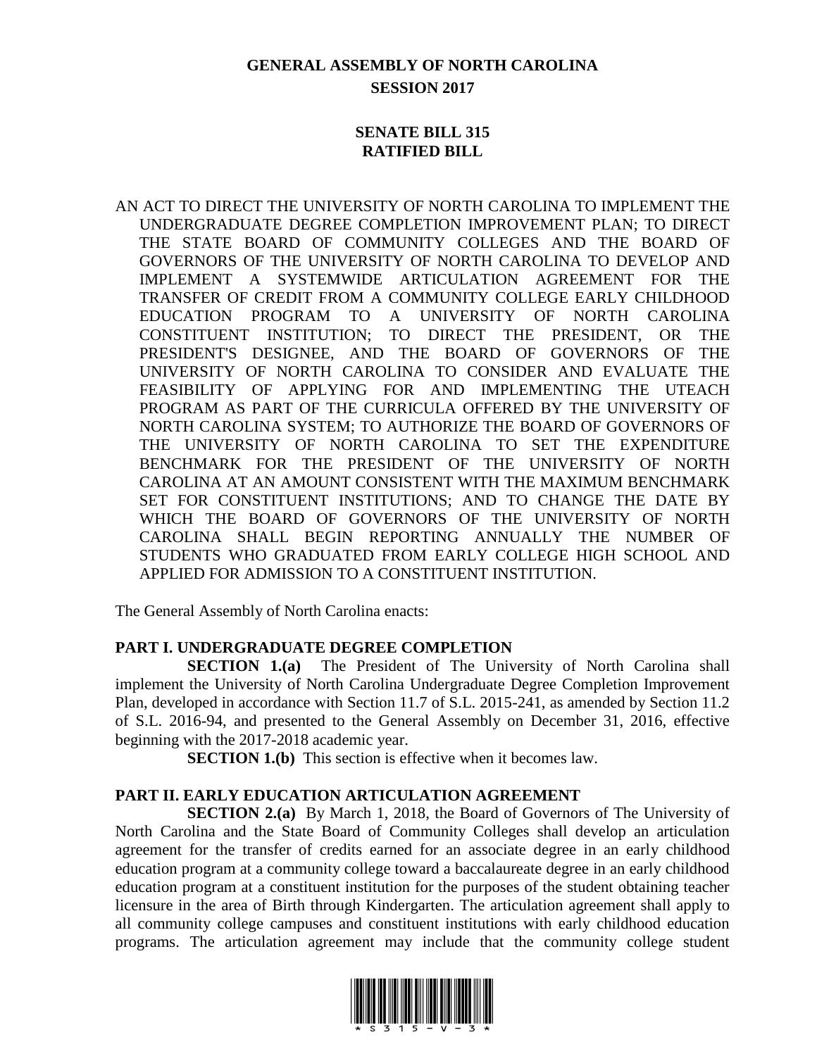# **GENERAL ASSEMBLY OF NORTH CAROLINA SESSION 2017**

### **SENATE BILL 315 RATIFIED BILL**

AN ACT TO DIRECT THE UNIVERSITY OF NORTH CAROLINA TO IMPLEMENT THE UNDERGRADUATE DEGREE COMPLETION IMPROVEMENT PLAN; TO DIRECT THE STATE BOARD OF COMMUNITY COLLEGES AND THE BOARD OF GOVERNORS OF THE UNIVERSITY OF NORTH CAROLINA TO DEVELOP AND IMPLEMENT A SYSTEMWIDE ARTICULATION AGREEMENT FOR THE TRANSFER OF CREDIT FROM A COMMUNITY COLLEGE EARLY CHILDHOOD EDUCATION PROGRAM TO A UNIVERSITY OF NORTH CAROLINA CONSTITUENT INSTITUTION; TO DIRECT THE PRESIDENT, OR THE PRESIDENT'S DESIGNEE, AND THE BOARD OF GOVERNORS OF THE UNIVERSITY OF NORTH CAROLINA TO CONSIDER AND EVALUATE THE FEASIBILITY OF APPLYING FOR AND IMPLEMENTING THE UTEACH PROGRAM AS PART OF THE CURRICULA OFFERED BY THE UNIVERSITY OF NORTH CAROLINA SYSTEM; TO AUTHORIZE THE BOARD OF GOVERNORS OF THE UNIVERSITY OF NORTH CAROLINA TO SET THE EXPENDITURE BENCHMARK FOR THE PRESIDENT OF THE UNIVERSITY OF NORTH CAROLINA AT AN AMOUNT CONSISTENT WITH THE MAXIMUM BENCHMARK SET FOR CONSTITUENT INSTITUTIONS; AND TO CHANGE THE DATE BY WHICH THE BOARD OF GOVERNORS OF THE UNIVERSITY OF NORTH CAROLINA SHALL BEGIN REPORTING ANNUALLY THE NUMBER OF STUDENTS WHO GRADUATED FROM EARLY COLLEGE HIGH SCHOOL AND APPLIED FOR ADMISSION TO A CONSTITUENT INSTITUTION.

The General Assembly of North Carolina enacts:

## **PART I. UNDERGRADUATE DEGREE COMPLETION**

**SECTION 1.(a)** The President of The University of North Carolina shall implement the University of North Carolina Undergraduate Degree Completion Improvement Plan, developed in accordance with Section 11.7 of S.L. 2015-241, as amended by Section 11.2 of S.L. 2016-94, and presented to the General Assembly on December 31, 2016, effective beginning with the 2017-2018 academic year.

**SECTION 1.(b)** This section is effective when it becomes law.

## **PART II. EARLY EDUCATION ARTICULATION AGREEMENT**

**SECTION 2.(a)** By March 1, 2018, the Board of Governors of The University of North Carolina and the State Board of Community Colleges shall develop an articulation agreement for the transfer of credits earned for an associate degree in an early childhood education program at a community college toward a baccalaureate degree in an early childhood education program at a constituent institution for the purposes of the student obtaining teacher licensure in the area of Birth through Kindergarten. The articulation agreement shall apply to all community college campuses and constituent institutions with early childhood education programs. The articulation agreement may include that the community college student

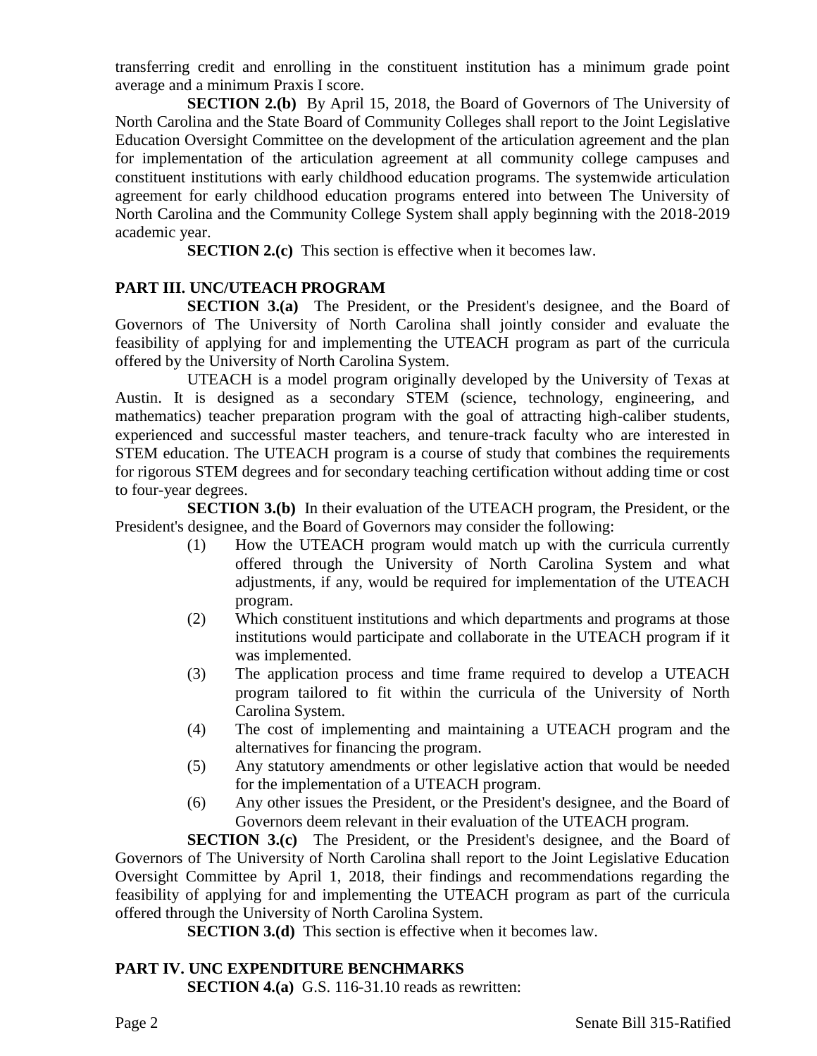transferring credit and enrolling in the constituent institution has a minimum grade point average and a minimum Praxis I score.

**SECTION 2.(b)** By April 15, 2018, the Board of Governors of The University of North Carolina and the State Board of Community Colleges shall report to the Joint Legislative Education Oversight Committee on the development of the articulation agreement and the plan for implementation of the articulation agreement at all community college campuses and constituent institutions with early childhood education programs. The systemwide articulation agreement for early childhood education programs entered into between The University of North Carolina and the Community College System shall apply beginning with the 2018-2019 academic year.

**SECTION 2.(c)** This section is effective when it becomes law.

## **PART III. UNC/UTEACH PROGRAM**

**SECTION 3.(a)** The President, or the President's designee, and the Board of Governors of The University of North Carolina shall jointly consider and evaluate the feasibility of applying for and implementing the UTEACH program as part of the curricula offered by the University of North Carolina System.

UTEACH is a model program originally developed by the University of Texas at Austin. It is designed as a secondary STEM (science, technology, engineering, and mathematics) teacher preparation program with the goal of attracting high-caliber students, experienced and successful master teachers, and tenure-track faculty who are interested in STEM education. The UTEACH program is a course of study that combines the requirements for rigorous STEM degrees and for secondary teaching certification without adding time or cost to four-year degrees.

**SECTION 3.(b)** In their evaluation of the UTEACH program, the President, or the President's designee, and the Board of Governors may consider the following:

- (1) How the UTEACH program would match up with the curricula currently offered through the University of North Carolina System and what adjustments, if any, would be required for implementation of the UTEACH program.
- (2) Which constituent institutions and which departments and programs at those institutions would participate and collaborate in the UTEACH program if it was implemented.
- (3) The application process and time frame required to develop a UTEACH program tailored to fit within the curricula of the University of North Carolina System.
- (4) The cost of implementing and maintaining a UTEACH program and the alternatives for financing the program.
- (5) Any statutory amendments or other legislative action that would be needed for the implementation of a UTEACH program.
- (6) Any other issues the President, or the President's designee, and the Board of Governors deem relevant in their evaluation of the UTEACH program.

**SECTION 3.(c)** The President, or the President's designee, and the Board of Governors of The University of North Carolina shall report to the Joint Legislative Education Oversight Committee by April 1, 2018, their findings and recommendations regarding the feasibility of applying for and implementing the UTEACH program as part of the curricula offered through the University of North Carolina System.

**SECTION 3.(d)** This section is effective when it becomes law.

## **PART IV. UNC EXPENDITURE BENCHMARKS**

**SECTION 4.(a)** G.S. 116-31.10 reads as rewritten: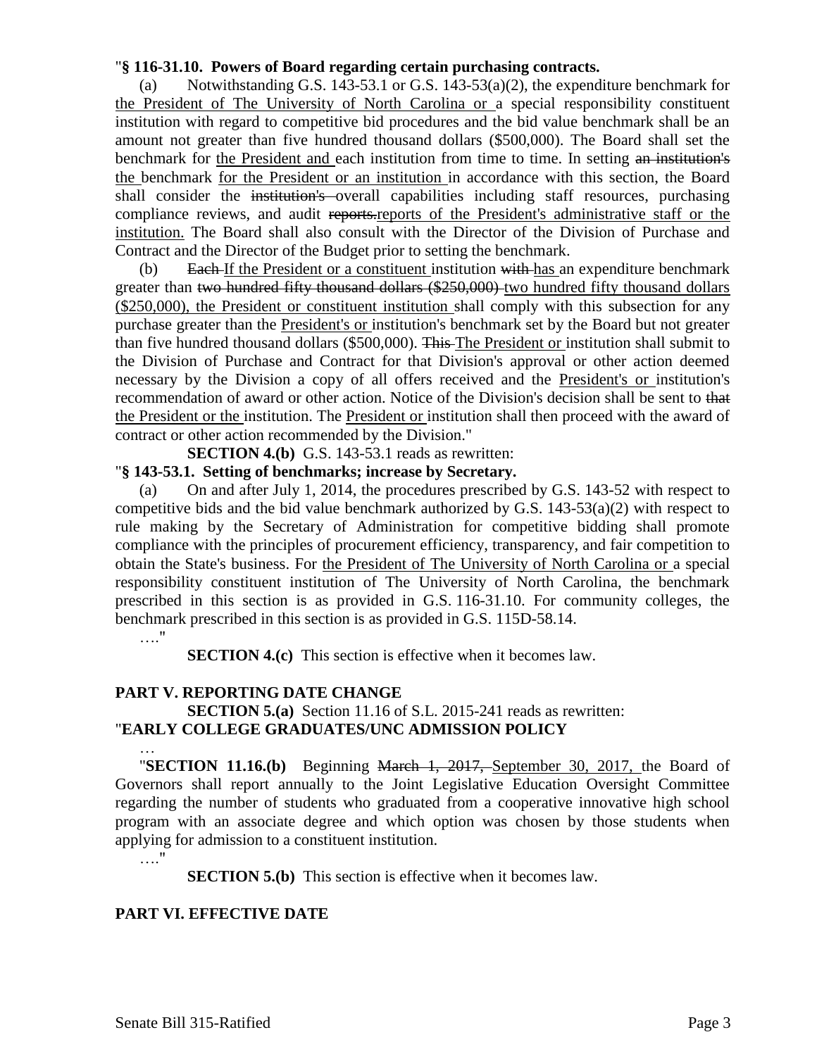### "**§ 116-31.10. Powers of Board regarding certain purchasing contracts.**

(a) Notwithstanding G.S. 143-53.1 or G.S. 143-53(a)(2), the expenditure benchmark for the President of The University of North Carolina or a special responsibility constituent institution with regard to competitive bid procedures and the bid value benchmark shall be an amount not greater than five hundred thousand dollars (\$500,000). The Board shall set the benchmark for the President and each institution from time to time. In setting an institution's the benchmark for the President or an institution in accordance with this section, the Board shall consider the institution's overall capabilities including staff resources, purchasing compliance reviews, and audit reports.reports of the President's administrative staff or the institution. The Board shall also consult with the Director of the Division of Purchase and Contract and the Director of the Budget prior to setting the benchmark.

(b) Each If the President or a constituent institution with has an expenditure benchmark greater than two hundred fifty thousand dollars (\$250,000) two hundred fifty thousand dollars (\$250,000), the President or constituent institution shall comply with this subsection for any purchase greater than the President's or institution's benchmark set by the Board but not greater than five hundred thousand dollars (\$500,000). This The President or institution shall submit to the Division of Purchase and Contract for that Division's approval or other action deemed necessary by the Division a copy of all offers received and the President's or institution's recommendation of award or other action. Notice of the Division's decision shall be sent to that the President or the institution. The President or institution shall then proceed with the award of contract or other action recommended by the Division."

**SECTION 4.(b)** G.S. 143-53.1 reads as rewritten:

### "**§ 143-53.1. Setting of benchmarks; increase by Secretary.**

(a) On and after July 1, 2014, the procedures prescribed by G.S. 143-52 with respect to competitive bids and the bid value benchmark authorized by G.S.  $143-53(a)(2)$  with respect to rule making by the Secretary of Administration for competitive bidding shall promote compliance with the principles of procurement efficiency, transparency, and fair competition to obtain the State's business. For the President of The University of North Carolina or a special responsibility constituent institution of The University of North Carolina, the benchmark prescribed in this section is as provided in G.S. 116-31.10. For community colleges, the benchmark prescribed in this section is as provided in G.S. 115D-58.14.

#### …"

**SECTION 4.(c)** This section is effective when it becomes law.

### **PART V. REPORTING DATE CHANGE**

### **SECTION 5.(a)** Section 11.16 of S.L. 2015-241 reads as rewritten: "**EARLY COLLEGE GRADUATES/UNC ADMISSION POLICY**

… "**SECTION 11.16.(b)** Beginning March 1, 2017, September 30, 2017, the Board of Governors shall report annually to the Joint Legislative Education Oversight Committee regarding the number of students who graduated from a cooperative innovative high school program with an associate degree and which option was chosen by those students when applying for admission to a constituent institution.

#### …."

**SECTION 5.(b)** This section is effective when it becomes law.

### **PART VI. EFFECTIVE DATE**